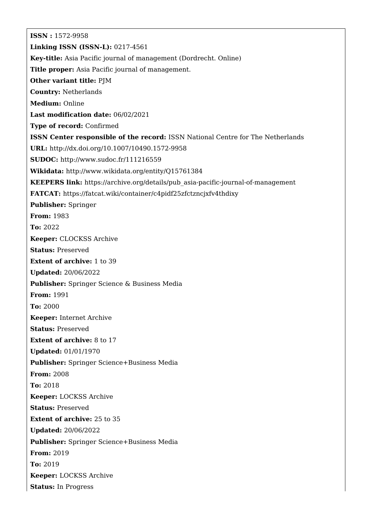**ISSN :** 1572-9958 **Linking ISSN (ISSN-L):** 0217-4561 **Key-title:** Asia Pacific journal of management (Dordrecht. Online) **Title proper:** Asia Pacific journal of management. **Other variant title:** PJM **Country:** Netherlands **Medium:** Online **Last modification date:** 06/02/2021 **Type of record:** Confirmed **ISSN Center responsible of the record:** ISSN National Centre for The Netherlands **URL:** <http://dx.doi.org/10.1007/10490.1572-9958> **SUDOC:** <http://www.sudoc.fr/111216559> **Wikidata:** <http://www.wikidata.org/entity/Q15761384> **KEEPERS link:** [https://archive.org/details/pub\\_asia-pacific-journal-of-management](https://archive.org/details/pub_asia-pacific-journal-of-management) **FATCAT:** <https://fatcat.wiki/container/c4pidf25zfctzncjxfv4thdixy> **Publisher:** Springer **From:** 1983 **To:** 2022 **Keeper:** CLOCKSS Archive **Status:** Preserved **Extent of archive:** 1 to 39 **Updated:** 20/06/2022 **Publisher:** Springer Science & Business Media **From:** 1991 **To:** 2000 **Keeper:** Internet Archive **Status:** Preserved **Extent of archive:** 8 to 17 **Updated:** 01/01/1970 **Publisher:** Springer Science+Business Media **From:** 2008 **To:** 2018 **Keeper:** LOCKSS Archive **Status:** Preserved **Extent of archive:** 25 to 35 **Updated:** 20/06/2022 **Publisher:** Springer Science+Business Media **From:** 2019 **To:** 2019 **Keeper:** LOCKSS Archive **Status:** In Progress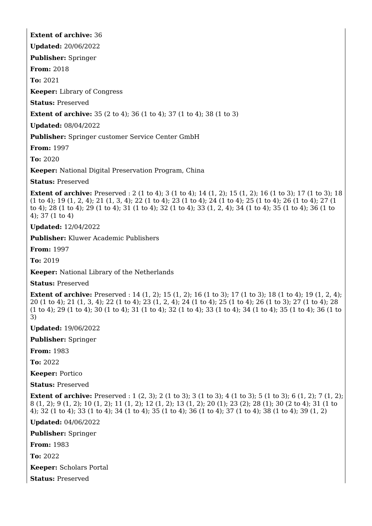## **Extent of archive:** 36

**Updated:** 20/06/2022

**Publisher:** Springer

**From:** 2018

**To:** 2021

**Keeper:** Library of Congress

**Status:** Preserved

**Extent of archive:** 35 (2 to 4): 36 (1 to 4): 37 (1 to 4): 38 (1 to 3)

**Updated:** 08/04/2022

**Publisher:** Springer customer Service Center GmbH

**From:** 1997

**To:** 2020

**Keeper:** National Digital Preservation Program, China

**Status:** Preserved

**Extent of archive:** Preserved : 2 (1 to 4); 3 (1 to 4); 14 (1, 2); 15 (1, 2); 16 (1 to 3); 17 (1 to 3); 18 (1 to 4); 19 (1, 2, 4); 21 (1, 3, 4); 22 (1 to 4); 23 (1 to 4); 24 (1 to 4); 25 (1 to 4); 26 (1 to 4); 27 (1 to 4); 28 (1 to 4); 29 (1 to 4); 31 (1 to 4); 32 (1 to 4); 33 (1, 2, 4); 34 (1 to 4); 35 (1 to 4); 36 (1 to 4); 37 (1 to 4)

**Updated:** 12/04/2022

**Publisher:** Kluwer Academic Publishers

**From:** 1997

**To:** 2019

**Keeper:** National Library of the Netherlands

**Status:** Preserved

**Extent of archive:** Preserved : 14 (1, 2); 15 (1, 2); 16 (1 to 3); 17 (1 to 3); 18 (1 to 4); 19 (1, 2, 4); 20 (1 to 4); 21 (1, 3, 4); 22 (1 to 4); 23 (1, 2, 4); 24 (1 to 4); 25 (1 to 4); 26 (1 to 3); 27 (1 to 4); 28 (1 to 4); 29 (1 to 4); 30 (1 to 4); 31 (1 to 4); 32 (1 to 4); 33 (1 to 4); 34 (1 to 4); 35 (1 to 4); 36 (1 to 3)

**Updated:** 19/06/2022

**Publisher:** Springer

**From:** 1983

**To:** 2022

**Keeper:** Portico

**Status:** Preserved

**Extent of archive:** Preserved : 1 (2, 3); 2 (1 to 3); 3 (1 to 3); 4 (1 to 3); 5 (1 to 3); 6 (1, 2); 7 (1, 2); 8 (1, 2); 9 (1, 2); 10 (1, 2); 11 (1, 2); 12 (1, 2); 13 (1, 2); 20 (1); 23 (2); 28 (1); 30 (2 to 4); 31 (1 to 4); 32 (1 to 4); 33 (1 to 4); 34 (1 to 4); 35 (1 to 4); 36 (1 to 4); 37 (1 to 4); 38 (1 to 4); 39 (1, 2)

**Updated:** 04/06/2022

**Publisher:** Springer

**From:** 1983

**To:** 2022

**Keeper:** Scholars Portal

**Status:** Preserved